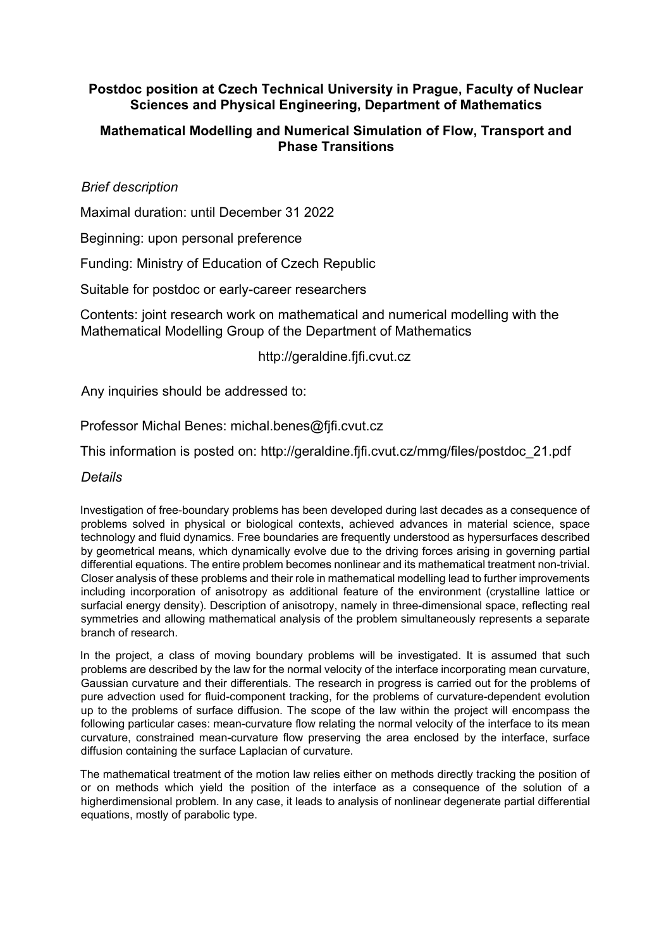## **Postdoc position at Czech Technical University in Prague, Faculty of Nuclear Sciences and Physical Engineering, Department of Mathematics**

# **Mathematical Modelling and Numerical Simulation of Flow, Transport and Phase Transitions**

### *Brief description*

Maximal duration: until December 31 2022

Beginning: upon personal preference

Funding: Ministry of Education of Czech Republic

Suitable for postdoc or early-career researchers

Contents: joint research work on mathematical and numerical modelling with the Mathematical Modelling Group of the Department of Mathematics

### http://geraldine.fjfi.cvut.cz

Any inquiries should be addressed to:

Professor Michal Benes: michal.benes@fjfi.cvut.cz

This information is posted on: http://geraldine.fjfi.cvut.cz/mmg/files/postdoc\_21.pdf

### *Details*

Investigation of free-boundary problems has been developed during last decades as a consequence of problems solved in physical or biological contexts, achieved advances in material science, space technology and fluid dynamics. Free boundaries are frequently understood as hypersurfaces described by geometrical means, which dynamically evolve due to the driving forces arising in governing partial differential equations. The entire problem becomes nonlinear and its mathematical treatment non-trivial. Closer analysis of these problems and their role in mathematical modelling lead to further improvements including incorporation of anisotropy as additional feature of the environment (crystalline lattice or surfacial energy density). Description of anisotropy, namely in three-dimensional space, reflecting real symmetries and allowing mathematical analysis of the problem simultaneously represents a separate branch of research.

In the project, a class of moving boundary problems will be investigated. It is assumed that such problems are described by the law for the normal velocity of the interface incorporating mean curvature, Gaussian curvature and their differentials. The research in progress is carried out for the problems of pure advection used for fluid-component tracking, for the problems of curvature-dependent evolution up to the problems of surface diffusion. The scope of the law within the project will encompass the following particular cases: mean-curvature flow relating the normal velocity of the interface to its mean curvature, constrained mean-curvature flow preserving the area enclosed by the interface, surface diffusion containing the surface Laplacian of curvature.

The mathematical treatment of the motion law relies either on methods directly tracking the position of or on methods which yield the position of the interface as a consequence of the solution of a higherdimensional problem. In any case, it leads to analysis of nonlinear degenerate partial differential equations, mostly of parabolic type.